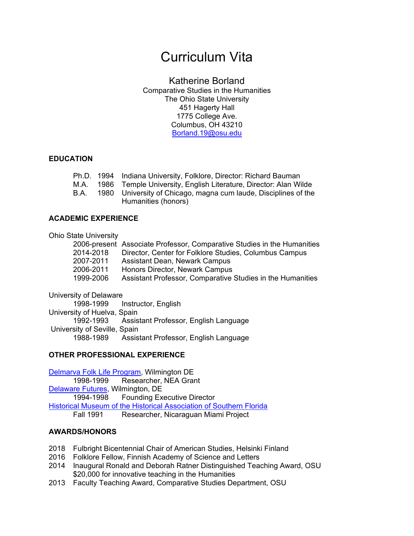# Curriculum Vita

# Katherine Borland

Comparative Studies in the Humanities The Ohio State University 451 Hagerty Hall 1775 College Ave. Columbus, OH 43210 Borland.19@osu.edu

## **EDUCATION**

|             | Ph.D. 1994 Indiana University, Folklore, Director: Richard Bauman |
|-------------|-------------------------------------------------------------------|
| M.A.        | 1986 Temple University, English Literature, Director: Alan Wilde  |
| <b>B.A.</b> | 1980 University of Chicago, magna cum laude, Disciplines of the   |
|             | Humanities (honors)                                               |

## **ACADEMIC EXPERIENCE**

#### Ohio State University

| .         |                                                                         |
|-----------|-------------------------------------------------------------------------|
|           | 2006-present Associate Professor, Comparative Studies in the Humanities |
| 2014-2018 | Director, Center for Folklore Studies, Columbus Campus                  |
| 2007-2011 | Assistant Dean, Newark Campus                                           |
| 2006-2011 | Honors Director, Newark Campus                                          |
| 1999-2006 | Assistant Professor, Comparative Studies in the Humanities              |
|           |                                                                         |

University of Delaware

1998-1999 Instructor, English University of Huelva, Spain 1992-1993 Assistant Professor, English Language University of Seville, Spain 1988-1989 Assistant Professor, English Language

## **OTHER PROFESSIONAL EXPERIENCE**

Delmarva Folk Life Program, Wilmington DE 1998-1999 Researcher, NEA Grant Delaware Futures, Wilmington, DE 1994-1998 Founding Executive Director Historical Museum of the Historical Association of Southern Florida Fall 1991 Researcher, Nicaraguan Miami Project

## **AWARDS/HONORS**

- 2018 Fulbright Bicentennial Chair of American Studies, Helsinki Finland
- 2016 Folklore Fellow, Finnish Academy of Science and Letters
- 2014 Inaugural Ronald and Deborah Ratner Distinguished Teaching Award, OSU \$20,000 for innovative teaching in the Humanities
- 2013 Faculty Teaching Award, Comparative Studies Department, OSU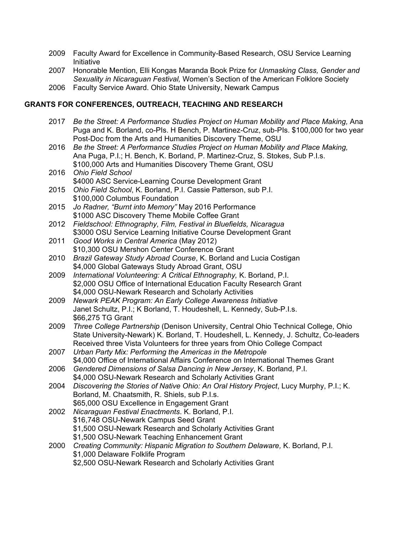- 2009 Faculty Award for Excellence in Community-Based Research, OSU Service Learning Initiative
- 2007 Honorable Mention, Elli Kongas Maranda Book Prize for *Unmasking Class, Gender and Sexuality in Nicaraguan Festival,* Women's Section of the American Folklore Society
- 2006 Faculty Service Award. Ohio State University, Newark Campus

## **GRANTS FOR CONFERENCES, OUTREACH, TEACHING AND RESEARCH**

- 2017 *Be the Street: A Performance Studies Project on Human Mobility and Place Making,* Ana Puga and K. Borland, co-PIs. H Bench, P. Martinez-Cruz, sub-PIs. \$100,000 for two year Post-Doc from the Arts and Humanities Discovery Theme, OSU
- 2016 *Be the Street: A Performance Studies Project on Human Mobility and Place Making,* Ana Puga, P.I.; H. Bench, K. Borland, P. Martinez-Cruz, S. Stokes, Sub P.I.s. \$100,000 Arts and Humanities Discovery Theme Grant, OSU
- 2016 *Ohio Field School* \$4000 ASC Service-Learning Course Development Grant 2015 *Ohio Field School*, K. Borland, P.I. Cassie Patterson, sub P.I. \$100,000 Columbus Foundation
- 2015 *Jo Radner, "Burnt into Memory"* May 2016 Performance \$1000 ASC Discovery Theme Mobile Coffee Grant
- 2012 *Fieldschool: Ethnography, Film, Festival in Bluefields, Nicaragua* \$3000 OSU Service Learning Initiative Course Development Grant
- 2011 *Good Works in Central America* (May 2012) \$10,300 OSU Mershon Center Conference Grant
- 2010 *Brazil Gateway Study Abroad Course*, K. Borland and Lucia Costigan \$4,000 Global Gateways Study Abroad Grant, OSU
- 2009 *International Volunteering: A Critical Ethnography,* K. Borland, P.I. \$2,000 OSU Office of International Education Faculty Research Grant \$4,000 OSU-Newark Research and Scholarly Activities
- 2009 *Newark PEAK Program: An Early College Awareness Initiative* Janet Schultz, P.I.; K Borland, T. Houdeshell, L. Kennedy, Sub-P.I.s. \$66,275 TG Grant
- 2009 *Three College Partnership* (Denison University, Central Ohio Technical College, Ohio State University-Newark) K. Borland, T. Houdeshell, L. Kennedy, J. Schultz, Co-leaders Received three Vista Volunteers for three years from Ohio College Compact
- 2007 *Urban Party Mix: Performing the Americas in the Metropole* \$4,000 Office of International Affairs Conference on International Themes Grant
- 2006 *Gendered Dimensions of Salsa Dancing in New Jersey*, K. Borland, P.I. \$4,000 OSU-Newark Research and Scholarly Activities Grant
- 2004 *Discovering the Stories of Native Ohio: An Oral History Project*, Lucy Murphy, P.I.; K. Borland, M. Chaatsmith, R. Shiels, sub P.I.s. \$65,000 OSU Excellence in Engagement Grant
- 2002 *Nicaraguan Festival Enactments*. K. Borland, P.I. \$16,748 OSU-Newark Campus Seed Grant \$1,500 OSU-Newark Research and Scholarly Activities Grant \$1,500 OSU-Newark Teaching Enhancement Grant
- 2000 *Creating Community: Hispanic Migration to Southern Delaware,* K. Borland, P.I. \$1,000 Delaware Folklife Program \$2,500 OSU-Newark Research and Scholarly Activities Grant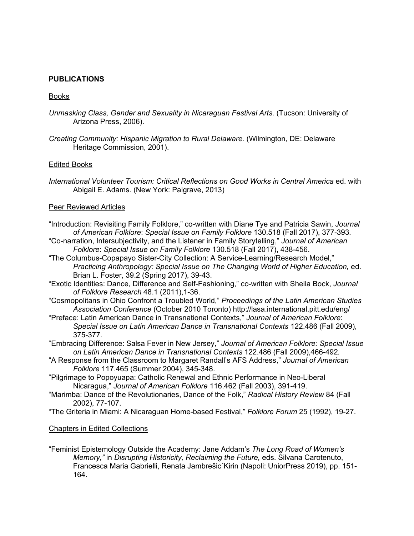## **PUBLICATIONS**

#### Books

- *Unmasking Class, Gender and Sexuality in Nicaraguan Festival Arts.* (Tucson: University of Arizona Press, 2006).
- *Creating Community: Hispanic Migration to Rural Delaware.* (Wilmington, DE: Delaware Heritage Commission, 2001).

#### Edited Books

*International Volunteer Tourism: Critical Reflections on Good Works in Central America* ed. with Abigail E. Adams. (New York: Palgrave, 2013)

#### Peer Reviewed Articles

- "Introduction: Revisiting Family Folklore," co-written with Diane Tye and Patricia Sawin, *Journal of American Folklore*: *Special Issue on Family Folklore* 130.518 (Fall 2017), 377-393*.*
- "Co-narration, Intersubjectivity, and the Listener in Family Storytelling," *Journal of American Folklore*: *Special Issue on Family Folklore* 130.518 (Fall 2017), 438-456.
- "The Columbus-Copapayo Sister-City Collection: A Service-Learning/Research Model," *Practicing Anthropology: Special Issue on The Changing World of Higher Education,* ed. Brian L. Foster, 39.2 (Spring 2017), 39-43.
- "Exotic Identities: Dance, Difference and Self-Fashioning," co-written with Sheila Bock, *Journal of Folklore Research* 48.1 (2011),1-36.
- "Cosmopolitans in Ohio Confront a Troubled World," *Proceedings of the Latin American Studies Association Conference* (October 2010 Toronto) http://lasa.international.pitt.edu/eng/
- "Preface: Latin American Dance in Transnational Contexts," *Journal of American Folklore*: *Special Issue on Latin American Dance in Transnational Contexts* 122.486 (Fall 2009), 375-377.
- "Embracing Difference: Salsa Fever in New Jersey," *Journal of American Folklore: Special Issue on Latin American Dance in Transnational Contexts* 122.486 (Fall 2009),466-492*.*
- "A Response from the Classroom to Margaret Randall's AFS Address," *Journal of American Folklore* 117.465 (Summer 2004), 345-348.
- "Pilgrimage to Popoyuapa: Catholic Renewal and Ethnic Performance in Neo-Liberal Nicaragua," *Journal of American Folklore* 116.462 (Fall 2003), 391-419.
- "Marimba: Dance of the Revolutionaries, Dance of the Folk," *Radical History Review* 84 (Fall 2002), 77-107.
- "The Griteria in Miami: A Nicaraguan Home-based Festival," *Folklore Forum* 25 (1992), 19-27.

#### Chapters in Edited Collections

"Feminist Epistemology Outside the Academy: Jane Addam's *The Long Road of Women's Memory,"* in *Disrupting Historicity, Reclaiming the Future,* eds. Silvana Carotenuto, Francesca Maria Gabrielli, Renata Jambrešic´Kirin (Napoli: UniorPress 2019), pp. 151- 164.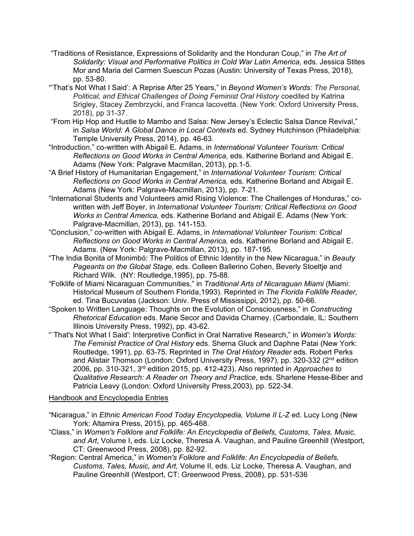- "Traditions of Resistance, Expressions of Solidarity and the Honduran Coup," in *The Art of Solidarity: Visual and Performative Politics in Cold War Latin America,* eds. Jessica Stites Mor and Maria del Carmen Suescun Pozas (Austin: University of Texas Press, 2018), pp. 53-80.
- "'That's Not What I Said': A Reprise After 25 Years," in *Beyond Women's Words: The Personal, Political, and Ethical Challenges of Doing Feminist Oral History* coedited by Katrina Srigley, Stacey Zembrzycki, and Franca Iacovetta. (New York: Oxford University Press, 2018), pp 31-37.
- "From Hip Hop and Hustle to Mambo and Salsa: New Jersey's Eclectic Salsa Dance Revival," in *Salsa World: A Global Dance in Local Contexts* ed. Sydney Hutchinson (Philadelphia: Temple University Press, 2014), pp. 46-63.
- "Introduction," co-written with Abigail E. Adams, in *International Volunteer Tourism: Critical Reflections on Good Works in Central America,* eds. Katherine Borland and Abigail E. Adams (New York: Palgrave Macmillan, 2013), pp.1-5.
- "A Brief History of Humanitarian Engagement," in *International Volunteer Tourism: Critical Reflections on Good Works in Central America,* eds. Katherine Borland and Abigail E. Adams (New York: Palgrave-Macmillan, 2013), pp. 7-21.
- "International Students and Volunteers amid Rising Violence: The Challenges of Honduras," cowritten with Jeff Boyer, in *International Volunteer Tourism: Critical Reflections on Good Works in Central America,* eds. Katherine Borland and Abigail E. Adams (New York: Palgrave-Macmillan, 2013), pp. 141-153.
- "Conclusion," co-written with Abigail E. Adams, in *International Volunteer Tourism: Critical Reflections on Good Works in Central America,* eds. Katherine Borland and Abigail E. Adams. (New York: Palgrave-Macmillan, 2013), pp. 187-195.
- "The India Bonita of Monimbó: The Politics of Ethnic Identity in the New Nicaragua," in *Beauty Pageants on the Global Stage,* eds. Colleen Ballerino Cohen, Beverly Stoeltje and Richard Wilk. (NY: Routledge,1995), pp. 75-88.
- "Folklife of Miami Nicaraguan Communities," in *Traditional Arts of Nicaraguan Miami* (Miami: Historical Museum of Southern Florida,1993). Reprinted in *The Florida Folklife Reader,* ed. Tina Bucuvalas (Jackson: Univ. Press of Mississippi, 2012), pp. 50-66.
- "Spoken to Written Language: Thoughts on the Evolution of Consciousness," in *Constructing Rhetorical Education* eds. Marie Secor and Davida Charney. (Carbondale, IL: Southern Illinois University Press, 1992), pp. 43-62.
- "`That's Not What I Said': Interpretive Conflict in Oral Narrative Research," in *Women's Words: The Feminist Practice of Oral History* eds. Sherna Gluck and Daphne Patai (New York: Routledge, 1991), pp. 63-75. Reprinted in *The Oral History Reader* eds. Robert Perks and Alistair Thomson (London: Oxford University Press, 1997), pp. 320-332 ( $2<sup>nd</sup>$  edition 2006, pp. 310-321, 3rd edition 2015, pp. 412-423). Also reprinted in *Approaches to Qualitative Research: A Reader on Theory and Practice,* eds. Sharlene Hesse-Biber and Patricia Leavy (London: Oxford University Press,2003), pp. 522-34.

## Handbook and Encyclopedia Entries

- "Nicaragua," in *Ethnic American Food Today Encyclopedia, Volume II L-Z* ed. Lucy Long (New York: Altamira Press, 2015), pp. 465-468.
- "Class," in *Women's Folklore and Folklife: An Encyclopedia of Beliefs, Customs, Tales, Music, and Art*, Volume I, eds. Liz Locke, Theresa A. Vaughan, and Pauline Greenhill (Westport, CT: Greenwood Press, 2008), pp. 82-92.
- "Region: Central America," in *Women's Folklore and Folklife: An Encyclopedia of Beliefs, Customs, Tales, Music, and Art,* Volume II, eds. Liz Locke, Theresa A. Vaughan, and Pauline Greenhill (Westport, CT: Greenwood Press, 2008), pp. 531-536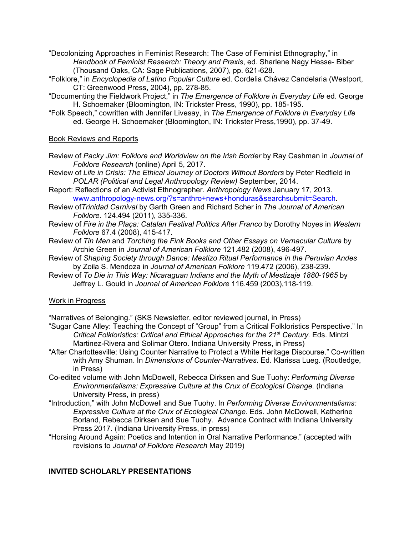- "Decolonizing Approaches in Feminist Research: The Case of Feminist Ethnography," in *Handbook of Feminist Research: Theory and Praxis*, ed. Sharlene Nagy Hesse- Biber (Thousand Oaks, CA: Sage Publications, 2007), pp. 621-628.
- "Folklore," in *Encyclopedia of Latino Popular Culture* ed. Cordelia Chávez Candelaria (Westport, CT: Greenwood Press, 2004), pp. 278-85.
- "Documenting the Fieldwork Project," in *The Emergence of Folklore in Everyday Life* ed. George H. Schoemaker (Bloomington, IN: Trickster Press, 1990), pp. 185-195.
- "Folk Speech," cowritten with Jennifer Livesay, in *The Emergence of Folklore in Everyday Life* ed. George H. Schoemaker (Bloomington, IN: Trickster Press,1990), pp. 37-49.

### Book Reviews and Reports

- Review of *Packy Jim: Folklore and Worldview on the Irish Border* by Ray Cashman in *Journal of Folklore Research* (online) April 5, 2017.
- Review of *Life in Crisis: The Ethical Journey of Doctors Without Borders* by Peter Redfield in *POLAR (Political and Legal Anthropology Review)* September, 2014.
- Report: Reflections of an Activist Ethnographer. *Anthropology News* January 17, 2013. www.anthropology-news.org/?s=anthro+news+honduras&searchsubmit=Search.
- Review of*Trinidad Carnival* by Garth Green and Richard Scher in *The Journal of American Folklore.* 124.494 (2011), 335-336.
- Review of *Fire in the Plaça: Catalan Festival Politics After Franco* by Dorothy Noyes in *Western Folklore* 67.4 (2008), 415-417.
- Review of *Tin Men* and *Torching the Fink Books and Other Essays on Vernacular Culture* by Archie Green in *Journal of American Folklore* 121.482 (2008), 496-497.
- Review of *Shaping Society through Dance: Mestizo Ritual Performance in the Peruvian Andes* by Zoila S. Mendoza in *Journal of American Folklore* 119.472 (2006), 238-239.
- Review of *To Die in This Way: Nicaraguan Indians and the Myth of Mestizaje 1880-1965* by Jeffrey L. Gould in *Journal of American Folklore* 116.459 (2003),118-119.

#### Work in Progress

"Narratives of Belonging." (SKS Newsletter, editor reviewed journal, in Press)

- "Sugar Cane Alley: Teaching the Concept of "Group" from a Critical Folkloristics Perspective." In *Critical Folkloristics: Critical and Ethical Approaches for the 21<sup>st</sup> Century. Eds. Mintzi* Martinez-Rivera and Solimar Otero. Indiana University Press, in Press)
- "After Charlottesville: Using Counter Narrative to Protect a White Heritage Discourse." Co-written with Amy Shuman. In *Dimensions of Counter-Narratives.* Ed. Klarissa Lueg. (Routledge, in Press)
- Co-edited volume with John McDowell, Rebecca Dirksen and Sue Tuohy: *Performing Diverse Environmentalisms: Expressive Culture at the Crux of Ecological Change.* (Indiana University Press, in press)
- "Introduction," with John McDowell and Sue Tuohy. In *Performing Diverse Environmentalisms: Expressive Culture at the Crux of Ecological Change.* Eds. John McDowell, Katherine Borland, Rebecca Dirksen and Sue Tuohy. Advance Contract with Indiana University Press 2017. (Indiana University Press, in press)
- "Horsing Around Again: Poetics and Intention in Oral Narrative Performance." (accepted with revisions to *Journal of Folklore Research* May 2019)

## **INVITED SCHOLARLY PRESENTATIONS**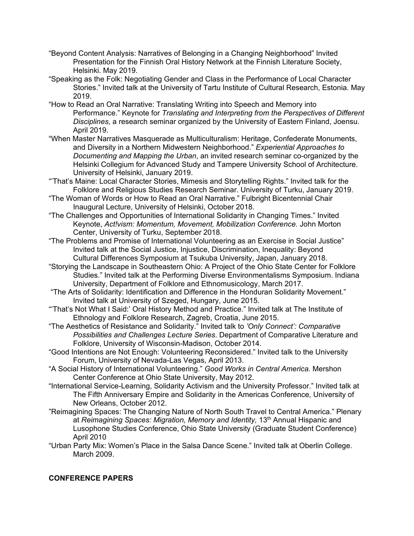- "Beyond Content Analysis: Narratives of Belonging in a Changing Neighborhood" Invited Presentation for the Finnish Oral History Network at the Finnish Literature Society, Helsinki. May 2019.
- "Speaking as the Folk: Negotiating Gender and Class in the Performance of Local Character Stories." Invited talk at the University of Tartu Institute of Cultural Research, Estonia. May 2019.
- "How to Read an Oral Narrative: Translating Writing into Speech and Memory into Performance." Keynote for *Translating and Interpreting from the Perspectives of Different Disciplines,* a research seminar organized by the University of Eastern Finland, Joensu. April 2019.
- "When Master Narratives Masquerade as Multiculturalism: Heritage, Confederate Monuments, and Diversity in a Northern Midwestern Neighborhood." *Experiential Approaches to Documenting and Mapping the Urban*, an invited research seminar co-organized by the Helsinki Collegium for Advanced Study and Tampere University School of Architecture. University of Helsinki, January 2019.
- "'That's Maine: Local Character Stories, Mimesis and Storytelling Rights." Invited talk for the Folklore and Religious Studies Research Seminar. University of Turku, January 2019.
- "The Woman of Words or How to Read an Oral Narrative." Fulbright Bicentennial Chair Inaugural Lecture, University of Helsinki, October 2018.
- "The Challenges and Opportunities of International Solidarity in Changing Times." Invited Keynote, *Act!vism: Momentum, Movement, Mobilization Conference.* John Morton Center, University of Turku, September 2018.
- "The Problems and Promise of International Volunteering as an Exercise in Social Justice" Invited talk at the Social Justice, Injustice, Discrimination, Inequality: Beyond Cultural Differences Symposium at Tsukuba University, Japan, January 2018.
- "Storying the Landscape in Southeastern Ohio: A Project of the Ohio State Center for Folklore Studies." Invited talk at the Performing Diverse Environmentalisms Symposium. Indiana University, Department of Folklore and Ethnomusicology, March 2017.
- "The Arts of Solidarity: Identification and Difference in the Honduran Solidarity Movement." Invited talk at University of Szeged, Hungary, June 2015.
- "'That's Not What I Said:' Oral History Method and Practice." Invited talk at The Institute of Ethnology and Folklore Research, Zagreb, Croatia, June 2015.
- "The Aesthetics of Resistance and Solidarity." Invited talk to *'Only Connect': Comparative Possibilities and Challenges Lecture Series*. Department of Comparative Literature and Folklore, University of Wisconsin-Madison, October 2014.
- "Good Intentions are Not Enough: Volunteering Reconsidered." Invited talk to the University Forum, University of Nevada-Las Vegas, April 2013.
- "A Social History of International Volunteering." *Good Works in Central America.* Mershon Center Conference at Ohio State University, May 2012.
- "International Service-Learning, Solidarity Activism and the University Professor." Invited talk at The Fifth Anniversary Empire and Solidarity in the Americas Conference*,* University of New Orleans, October 2012.
- "Reimagining Spaces: The Changing Nature of North South Travel to Central America." Plenary at *Reimagining Spaces: Migration, Memory and Identity*, 13<sup>th</sup> Annual Hispanic and Lusophone Studies Conference, Ohio State University (Graduate Student Conference) April 2010
- "Urban Party Mix: Women's Place in the Salsa Dance Scene." Invited talk at Oberlin College. March 2009.

# **CONFERENCE PAPERS**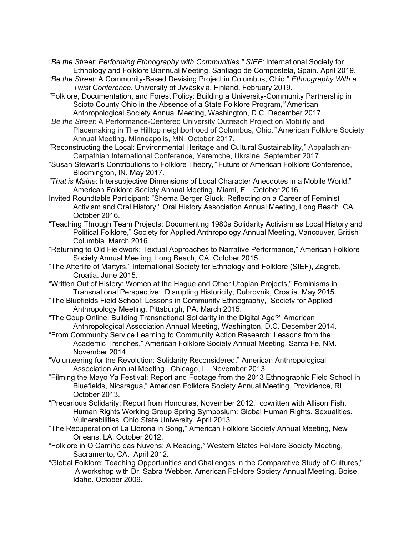*"Be the Street: Performing Ethnography with Communities," SIEF:* International Society for Ethnology and Folklore Biannual Meeting. Santiago de Compostela, Spain. April 2019.

- *"Be the Street*: A Community-Based Devising Project in Columbus, Ohio," *Ethnography With a Twist Conference*. University of Jyväskylä, Finland. February 2019.
- *"*Folklore, Documentation, and Forest Policy: Building a University-Community Partnership in Scioto County Ohio in the Absence of a State Folklore Program*,"* American Anthropological Society Annual Meeting, Washington, D.C. December 2017.
- *"Be the Street:* A Performance-Centered University Outreach Project on Mobility and Placemaking in The Hilltop neighborhood of Columbus, Ohio*,"* American Folklore Society Annual Meeting, Minneapolis, MN. October 2017.
- *"*Reconstructing the Local: Environmental Heritage and Cultural Sustainability," Appalachian-Carpathian International Conference, Yaremche, Ukraine. September 2017.
- "Susan Stewart's Contributions to Folklore Theory*,"* Future of American Folklore Conference, Bloomington, IN. May 2017.
- *"That is Maine*: Intersubjective Dimensions of Local Character Anecdotes in a Mobile World," American Folklore Society Annual Meeting, Miami, FL. October 2016.
- Invited Roundtable Participant: "Sherna Berger Gluck: Reflecting on a Career of Feminist Activism and Oral History," Oral History Association Annual Meeting, Long Beach, CA. October 2016.
- "Teaching Through Team Projects: Documenting 1980s Solidarity Activism as Local History and Political Folklore," Society for Applied Anthropology Annual Meeting, Vancouver, British Columbia. March 2016.
- "Returning to Old Fieldwork: Textual Approaches to Narrative Performance," American Folklore Society Annual Meeting, Long Beach, CA. October 2015.
- "The Afterlife of Martyrs," International Society for Ethnology and Folklore (SIEF), Zagreb, Croatia. June 2015.
- "Written Out of History: Women at the Hague and Other Utopian Projects," Feminisms in Transnational Perspective: Disrupting Historicity, Dubrovnik, Croatia. May 2015.
- "The Bluefields Field School: Lessons in Community Ethnography," Society for Applied Anthropology Meeting, Pittsburgh, PA. March 2015.
- "The Coup Online: Building Transnational Solidarity in the Digital Age?" American Anthropological Association Annual Meeting, Washington, D.C. December 2014.
- "From Community Service Learning to Community Action Research: Lessons from the Academic Trenches," American Folklore Society Annual Meeting. Santa Fe, NM. November 2014
- "Volunteering for the Revolution: Solidarity Reconsidered," American Anthropological Association Annual Meeting. Chicago, IL. November 2013.
- "Filming the Mayo Ya Festival: Report and Footage from the 2013 Ethnographic Field School in Bluefields, Nicaragua," American Folklore Society Annual Meeting. Providence, RI. October 2013.
- "Precarious Solidarity: Report from Honduras, November 2012," cowritten with Allison Fish. Human Rights Working Group Spring Symposium: Global Human Rights, Sexualities, Vulnerabilities. Ohio State University. April 2013.
- "The Recuperation of La Llorona in Song," American Folklore Society Annual Meeting, New Orleans, LA. October 2012.
- "Folklore in O Camiño das Nuvens: A Reading," Western States Folklore Society Meeting*,* Sacramento, CA. April 2012*.*
- "Global Folklore: Teaching Opportunities and Challenges in the Comparative Study of Cultures," A workshop with Dr. Sabra Webber. American Folklore Society Annual Meeting. Boise, Idaho. October 2009.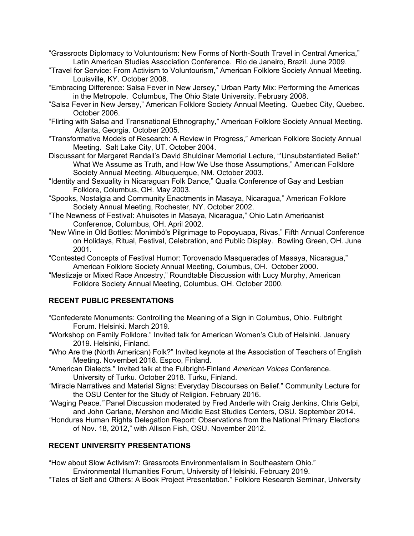"Grassroots Diplomacy to Voluntourism: New Forms of North-South Travel in Central America," Latin American Studies Association Conference. Rio de Janeiro, Brazil. June 2009.

- "Travel for Service: From Activism to Voluntourism," American Folklore Society Annual Meeting. Louisville, KY. October 2008.
- "Embracing Difference: Salsa Fever in New Jersey," Urban Party Mix: Performing the Americas in the Metropole. Columbus, The Ohio State University. February 2008.
- "Salsa Fever in New Jersey," American Folklore Society Annual Meeting. Quebec City, Quebec. October 2006.
- "Flirting with Salsa and Transnational Ethnography," American Folklore Society Annual Meeting. Atlanta, Georgia. October 2005.
- "Transformative Models of Research: A Review in Progress," American Folklore Society Annual Meeting. Salt Lake City, UT. October 2004.
- Discussant for Margaret Randall's David Shuldinar Memorial Lecture, "'Unsubstantiated Belief:' What We Assume as Truth, and How We Use those Assumptions," American Folklore Society Annual Meeting. Albuquerque, NM. October 2003.
- "Identity and Sexuality in Nicaraguan Folk Dance," Qualia Conference of Gay and Lesbian Folklore, Columbus, OH. May 2003.
- "Spooks, Nostalgia and Community Enactments in Masaya, Nicaragua," American Folklore Society Annual Meeting, Rochester, NY. October 2002.
- "The Newness of Festival: Ahuisotes in Masaya, Nicaragua," Ohio Latin Americanist Conference, Columbus, OH. April 2002.
- "New Wine in Old Bottles: Monimbó's Pilgrimage to Popoyuapa, Rivas," Fifth Annual Conference on Holidays, Ritual, Festival, Celebration, and Public Display. Bowling Green, OH. June 2001.
- "Contested Concepts of Festival Humor: Torovenado Masquerades of Masaya, Nicaragua," American Folklore Society Annual Meeting, Columbus, OH. October 2000.
- "Mestizaje or Mixed Race Ancestry," Roundtable Discussion with Lucy Murphy, American Folklore Society Annual Meeting, Columbus, OH. October 2000.

## **RECENT PUBLIC PRESENTATIONS**

- "Confederate Monuments: Controlling the Meaning of a Sign in Columbus, Ohio. Fulbright Forum. Helsinki. March 2019.
- "Workshop on Family Folklore." Invited talk for American Women's Club of Helsinki. January 2019. Helsinki, Finland.
- "Who Are the (North American) Folk?" Invited keynote at the Association of Teachers of English Meeting. Novembet 2018. Espoo, Finland.
- "American Dialects." Invited talk at the Fulbright-Finland *American Voices* Conference. University of Turku. October 2018. Turku, Finland.
- *"*Miracle Narratives and Material Signs: Everyday Discourses on Belief." Community Lecture for the OSU Center for the Study of Religion. February 2016.
- *"*Waging Peace*."* Panel Discussion moderated by Fred Anderle with Craig Jenkins, Chris Gelpi, and John Carlane, Mershon and Middle East Studies Centers, OSU. September 2014.
- *"*Honduras Human Rights Delegation Report: Observations from the National Primary Elections of Nov. 18, 2012," with Allison Fish, OSU. November 2012.

## **RECENT UNIVERSITY PRESENTATIONS**

"How about Slow Activism?: Grassroots Environmentalism in Southeastern Ohio."

Environmental Humanities Forum, University of Helsinki. February 2019.

"Tales of Self and Others: A Book Project Presentation." Folklore Research Seminar, University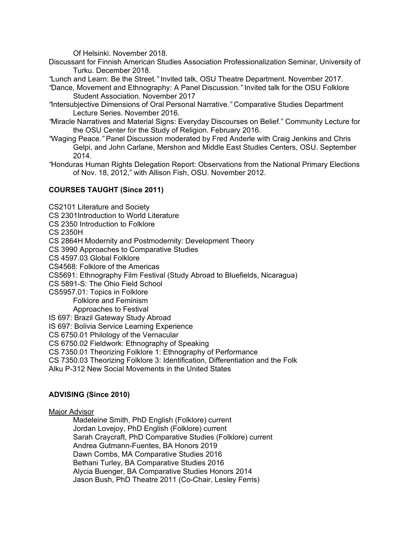Of Helsinki. November 2018.

Discussant for Finnish American Studies Association Professionalization Seminar, University of Turku. December 2018.

*"*Lunch and Learn: Be the Street*."* Invited talk, OSU Theatre Department. November 2017.

- *"*Dance, Movement and Ethnography: A Panel Discussion*."* Invited talk for the OSU Folklore Student Association. November 2017
- *"*Intersubjective Dimensions of Oral Personal Narrative.*"* Comparative Studies Department Lecture Series. November 2016.
- *"*Miracle Narratives and Material Signs: Everyday Discourses on Belief." Community Lecture for the OSU Center for the Study of Religion. February 2016.
- *"*Waging Peace*."* Panel Discussion moderated by Fred Anderle with Craig Jenkins and Chris Gelpi, and John Carlane, Mershon and Middle East Studies Centers, OSU. September 2014.
- *"*Honduras Human Rights Delegation Report: Observations from the National Primary Elections of Nov. 18, 2012," with Allison Fish, OSU. November 2012.

## **COURSES TAUGHT (Since 2011)**

CS2101 Literature and Society CS 2301Introduction to World Literature CS 2350 Introduction to Folklore CS 2350H CS 2864H Modernity and Postmodernity: Development Theory CS 3990 Approaches to Comparative Studies CS 4597.03 Global Folklore CS4568: Folklore of the Americas CS5691: Ethnography Film Festival (Study Abroad to Bluefields, Nicaragua) CS 5891-S: The Ohio Field School CS5957.01: Topics in Folklore Folklore and Feminism Approaches to Festival IS 697: Brazil Gateway Study Abroad IS 697: Bolivia Service Learning Experience CS 6750.01 Philology of the Vernacular CS 6750.02 Fieldwork: Ethnography of Speaking CS 7350.01 Theorizing Folklore 1: Ethnography of Performance CS 7350.03 Theorizing Folklore 3: Identification, Differentiation and the Folk Alku P-312 New Social Movements in the United States

# **ADVISING (Since 2010)**

#### Major Advisor

Madeleine Smith, PhD English (Folklore) current Jordan Lovejoy, PhD English (Folklore) current Sarah Craycraft, PhD Comparative Studies (Folklore) current Andrea Gutmann-Fuentes, BA Honors 2019 Dawn Combs, MA Comparative Studies 2016 Bethani Turley, BA Comparative Studies 2016 Alycia Buenger, BA Comparative Studies Honors 2014 Jason Bush, PhD Theatre 2011 (Co-Chair, Lesley Ferris)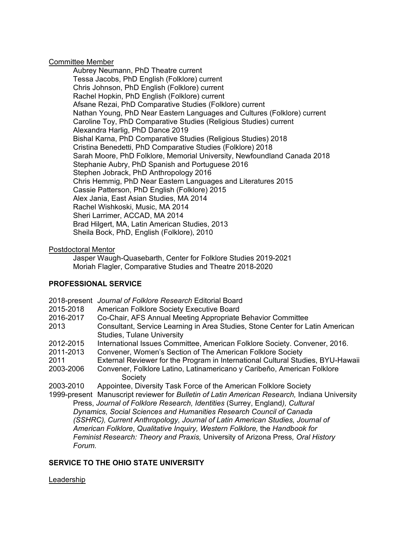#### Committee Member

Aubrey Neumann, PhD Theatre current Tessa Jacobs, PhD English (Folklore) current Chris Johnson, PhD English (Folklore) current Rachel Hopkin, PhD English (Folklore) current Afsane Rezai, PhD Comparative Studies (Folklore) current Nathan Young, PhD Near Eastern Languages and Cultures (Folklore) current Caroline Toy, PhD Comparative Studies (Religious Studies) current Alexandra Harlig, PhD Dance 2019 Bishal Karna, PhD Comparative Studies (Religious Studies) 2018 Cristina Benedetti, PhD Comparative Studies (Folklore) 2018 Sarah Moore, PhD Folklore, Memorial University, Newfoundland Canada 2018 Stephanie Aubry, PhD Spanish and Portuguese 2016 Stephen Jobrack, PhD Anthropology 2016 Chris Hemmig, PhD Near Eastern Languages and Literatures 2015 Cassie Patterson, PhD English (Folklore) 2015 Alex Jania, East Asian Studies, MA 2014 Rachel Wishkoski, Music, MA 2014 Sheri Larrimer, ACCAD, MA 2014 Brad Hilgert, MA, Latin American Studies, 2013 Sheila Bock, PhD, English (Folklore), 2010

#### Postdoctoral Mentor

Jasper Waugh-Quasebarth, Center for Folklore Studies 2019-2021 Moriah Flagler, Comparative Studies and Theatre 2018-2020

## **PROFESSIONAL SERVICE**

| 2015-2018<br>2016-2017                                                                    | 2018-present Journal of Folklore Research Editorial Board<br>American Folklore Society Executive Board<br>Co-Chair, AFS Annual Meeting Appropriate Behavior Committee |  |  |  |
|-------------------------------------------------------------------------------------------|-----------------------------------------------------------------------------------------------------------------------------------------------------------------------|--|--|--|
| 2013                                                                                      | Consultant, Service Learning in Area Studies, Stone Center for Latin American<br><b>Studies, Tulane University</b>                                                    |  |  |  |
| 2012-2015                                                                                 | International Issues Committee, American Folklore Society. Convener, 2016.                                                                                            |  |  |  |
| 2011-2013                                                                                 | Convener, Women's Section of The American Folklore Society                                                                                                            |  |  |  |
| 2011                                                                                      | External Reviewer for the Program in International Cultural Studies, BYU-Hawaii                                                                                       |  |  |  |
| 2003-2006                                                                                 | Convener, Folklore Latino, Latinamericano y Caribeño, American Folklore                                                                                               |  |  |  |
|                                                                                           | Society                                                                                                                                                               |  |  |  |
| 2003-2010                                                                                 | Appointee, Diversity Task Force of the American Folklore Society                                                                                                      |  |  |  |
|                                                                                           | 1999-present Manuscript reviewer for Bulletin of Latin American Research, Indiana University                                                                          |  |  |  |
|                                                                                           | Press, Journal of Folklore Research, Identities (Surrey, England), Cultural                                                                                           |  |  |  |
| Dynamics, Social Sciences and Humanities Research Council of Canada                       |                                                                                                                                                                       |  |  |  |
| (SSHRC), Current Anthropology, Journal of Latin American Studies, Journal of              |                                                                                                                                                                       |  |  |  |
| American Folklore, Qualitative Inquiry, Western Folklore, the Handbook for                |                                                                                                                                                                       |  |  |  |
| Feminist Research: Theory and Praxis, University of Arizona Press, Oral History<br>Forum. |                                                                                                                                                                       |  |  |  |
|                                                                                           |                                                                                                                                                                       |  |  |  |

## **SERVICE TO THE OHIO STATE UNIVERSITY**

#### Leadership